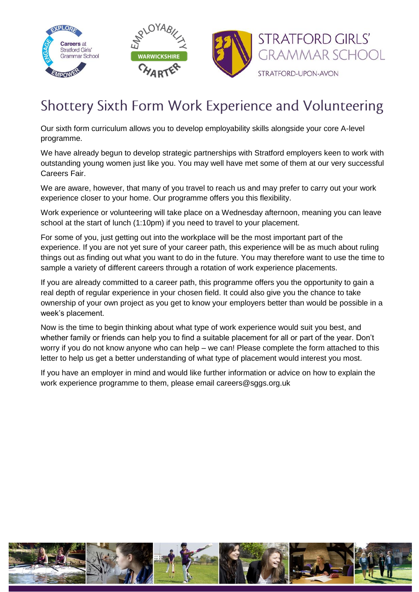

## Shottery Sixth Form Work Experience and Volunteering

Our sixth form curriculum allows you to develop employability skills alongside your core A-level programme.

We have already begun to develop strategic partnerships with Stratford employers keen to work with outstanding young women just like you. You may well have met some of them at our very successful Careers Fair.

We are aware, however, that many of you travel to reach us and may prefer to carry out your work experience closer to your home. Our programme offers you this flexibility.

Work experience or volunteering will take place on a Wednesday afternoon, meaning you can leave school at the start of lunch (1:10pm) if you need to travel to your placement.

For some of you, just getting out into the workplace will be the most important part of the experience. If you are not yet sure of your career path, this experience will be as much about ruling things out as finding out what you want to do in the future. You may therefore want to use the time to sample a variety of different careers through a rotation of work experience placements.

If you are already committed to a career path, this programme offers you the opportunity to gain a real depth of regular experience in your chosen field. It could also give you the chance to take ownership of your own project as you get to know your employers better than would be possible in a week's placement.

Now is the time to begin thinking about what type of work experience would suit you best, and whether family or friends can help you to find a suitable placement for all or part of the year. Don't worry if you do not know anyone who can help – we can! Please complete the form attached to this letter to help us get a better understanding of what type of placement would interest you most.

If you have an employer in mind and would like further information or advice on how to explain the work experience programme to them, please email careers@sggs.org.uk

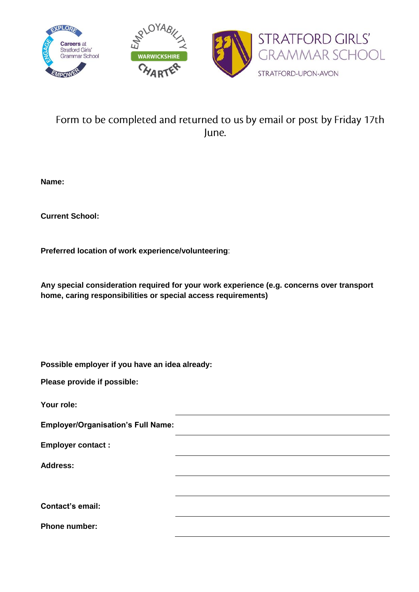

## Form to be completed and returned to us by email or post by Friday 17th June.

**Name:**

**Current School:**

**Preferred location of work experience/volunteering**:

**Any special consideration required for your work experience (e.g. concerns over transport home, caring responsibilities or special access requirements)**

**Possible employer if you have an idea already:**

**Please provide if possible:**

**Your role:**

**Employer/Organisation's Full Name:**

**Employer contact :**

**Address:**

**Contact's email:**

**Phone number:**